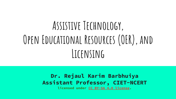# **Assistive Technology, Open Educational Resources (OER), and Licensing**

#### **Dr. Rejaul Karim Barbhuiya Assistant Professor, CIET-NCERT**

**licensed under [CC BY-SA 4.0 license.](https://creativecommons.org/licenses/by-sa/4.0/)**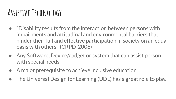### **Assistive Technology**

- "Disability results from the interaction between persons with impairments and attitudinal and environmental barriers that hinder their full and effective participation in society on an equal basis with others"-(CRPD-2006)
- Any Software, Device/gadget or system that can assist person with special needs.
- A major prerequisite to achieve inclusive education
- The Universal Design for Learning (UDL) has a great role to play.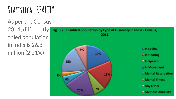# **Statistical REALITY**

As per the Census 2011, differently abled population in India is 26.8 million (2.21%)

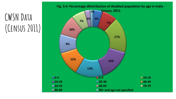# **CWSN Data (Census 2011)**

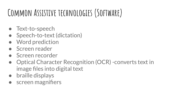# **Common Assistive technologies (Software)**

- Text-to-speech
- Speech-to-text (dictation)
- **Word prediction**
- Screen reader
- Screen recorder
- Optical Character Recognition (OCR) -converts text in image files into digital text
- braille displays
- screen magnifiers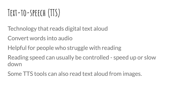## **Text-to-speech (TTS)**

Technology that reads digital text aloud

Convert words into audio

Helpful for people who struggle with reading

Reading speed can usually be controlled - speed up or slow down

Some TTS tools can also read text aloud from images.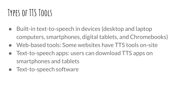### **Types of TTS Tools**

- Built-in text-to-speech in devices (desktop and laptop computers, smartphones, digital tablets, and Chromebooks)
- Web-based tools: Some websites have TTS tools on-site
- Text-to-speech apps: users can download TTS apps on smartphones and tablets
- Text-to-speech software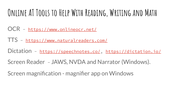## **Online AT Tools to Help With Reading, Writing and Math**

OCR - <https://www.onlineocr.net/>

TTS - <https://www.naturalreaders.com/>

Dictation -<https://speechnotes.co/>,<https://dictation.io/>

Screen Reader - [JAWS,](https://www.freedomscientific.com/products/software/jaws/) [NVDA](https://www.nvaccess.org/) and Narrator (Windows).

Screen magnification - magnifier app on Windows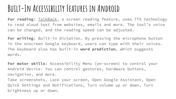#### **Built-In Accessibility Features in Android**

For reading: **TalkBack**, a screen reading feature, uses TTS technology to read aloud text from websites, emails and more. The tool's voice can be changed, and the reading speed can be adjusted.

**For writing**: Built-in dictation. By pressing the microphone button in the onscreen Google keyboard, users can type with their voices. The keyboard also has built-in **word prediction**, which suggests words.

**For motor skills**: Accessibility Menu (on-screen) to control your Android device. You can control gestures, hardware buttons, navigation, and more.

Take screenshots, Lock your screen, Open Google Assistant, Open Quick Settings and Notifications, Turn volume up or down, Turn brightness up or down.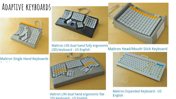#### **Adaptive keyboards**





Maltron L90 dual hand fully ergonomic (3D) keyboard - US English



#### **Maltron Single Hand Keyboards**

#### Maltron Head/Mouth Stick Keyboard



**Vlaitron L90 dual hand ergonomic flat** (2D) keyhoard - US English



**Maltron Expanded Keyboard - US English**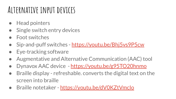### **Alternative input devices**

- **Head pointers**
- Single switch entry devices
- Foot switches
- Sip-and-puff switches -<https://youtu.be/Bhj5vs9P5cw>
- Eye-tracking software
- Augmentative and Alternative Communication (AAC) tool
- Dynavox AAC device -<https://youtu.be/g95TO20hnmo>
- Braille display refreshable. converts the digital text on the screen into braille
- Braille notetaker https://youtu.be/dV0KZtVmclo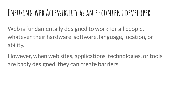#### **Ensuring Web Accessibility as an e-content developer**

Web is fundamentally designed to work for all people, whatever their hardware, software, language, location, or ability.

However, when web sites, applications, technologies, or tools are badly designed, they can create barriers